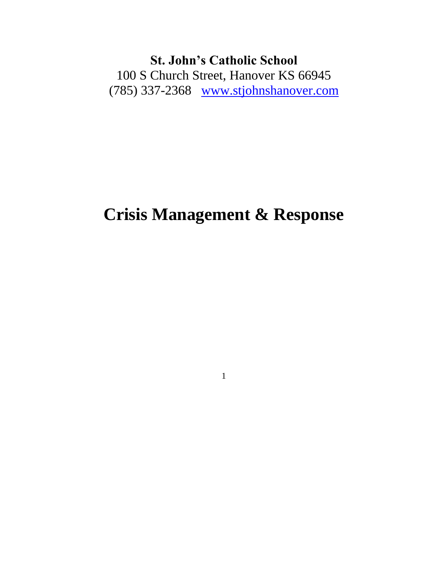**St. John's Catholic School** 100 S Church Street, Hanover KS 66945 (785) 337-2368 [www.stjohnshanover.com](http://www.stjohnshanover.com/)

# **Crisis Management & Response**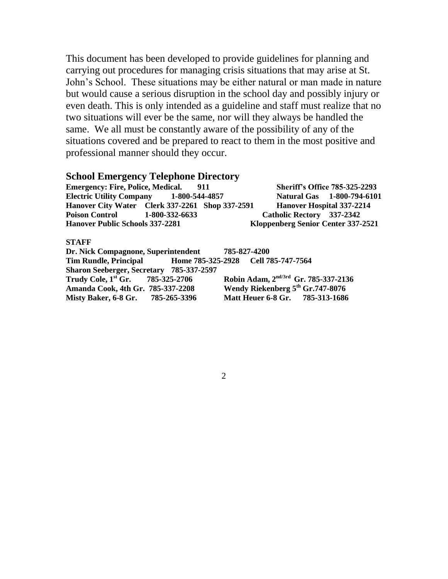This document has been developed to provide guidelines for planning and carrying out procedures for managing crisis situations that may arise at St. John's School. These situations may be either natural or man made in nature but would cause a serious disruption in the school day and possibly injury or even death. This is only intended as a guideline and staff must realize that no two situations will ever be the same, nor will they always be handled the same. We all must be constantly aware of the possibility of any of the situations covered and be prepared to react to them in the most positive and professional manner should they occur.

#### **School Emergency Telephone Directory**

**Emergency: Fire, Police, Medical. 911 Sheriff's Office 785-325-2293 Electric Utility Company 1-800-544-4857 Natural Gas 1-800-794-6101 Hanover City Water Clerk 337-2261 Shop 337-2591 Hanover Hospital 337-2214 Poison Control 1-800-332-6633 Catholic Rectory 337-2342 Hanover Public Schools 337-2281 Kloppenberg Senior Center 337-2521**

#### **STAFF**

**Dr. Nick Compagnone, Superintendent 785-827-4200 Tim Rundle, Principal Home 785-325-2928 Cell 785-747-7564 Sharon Seeberger, Secretary 785-337-2597 Trudy Cole, 1st Gr. 785-325-2706 Robin Adam, 2nd/3rd Gr. 785-337-2136 Amanda Cook, 4th Gr. 785-337-2208 Wendy Riekenberg 5th Gr.747-8076 Misty Baker, 6-8 Gr. 785-265-3396 Matt Heuer 6-8 Gr. 785-313-1686**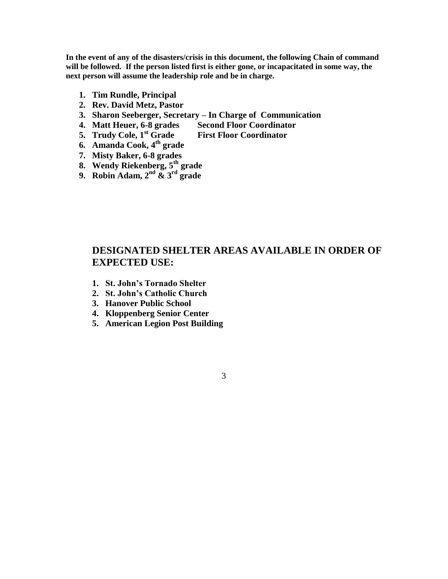**In the event of any of the disasters/crisis in this document, the following Chain of command will be followed. If the person listed first is either gone, or incapacitated in some way, the next person will assume the leadership role and be in charge.**

- **1. Tim Rundle, Principal**
- **2. Rev. David Metz, Pastor**
- **3. Sharon Seeberger, Secretary – In Charge of Communication**
- **4. Matt Heuer, 6-8 grades Second Floor Coordinator**
- **5. Trudy Cole, 1st Grade First Floor Coordinator**
- **6. Amanda Cook, 4th grade**
- **7. Misty Baker, 6-8 grades**
- **8. Wendy Riekenberg, 5th grade**
- **9. Robin Adam, 2nd & 3rd grade**

#### **DESIGNATED SHELTER AREAS AVAILABLE IN ORDER OF EXPECTED USE:**

- **1. St. John's Tornado Shelter**
- **2. St. John's Catholic Church**
- **3. Hanover Public School**
- **4. Kloppenberg Senior Center**
- **5. American Legion Post Building**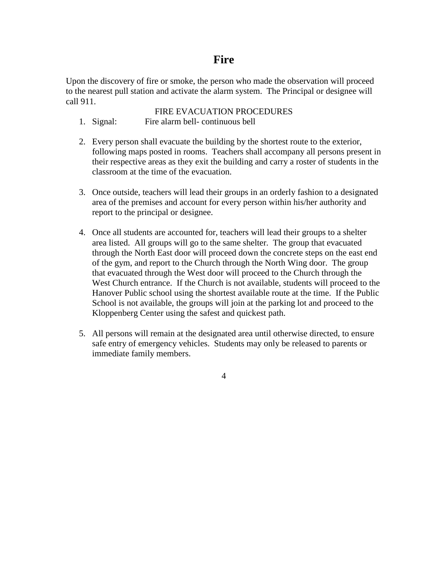## **Fire**

Upon the discovery of fire or smoke, the person who made the observation will proceed to the nearest pull station and activate the alarm system. The Principal or designee will call 911.

- FIRE EVACUATION PROCEDURES 1. Signal: Fire alarm bell- continuous bell
- 2. Every person shall evacuate the building by the shortest route to the exterior, following maps posted in rooms. Teachers shall accompany all persons present in their respective areas as they exit the building and carry a roster of students in the classroom at the time of the evacuation.
- 3. Once outside, teachers will lead their groups in an orderly fashion to a designated area of the premises and account for every person within his/her authority and report to the principal or designee.
- 4. Once all students are accounted for, teachers will lead their groups to a shelter area listed. All groups will go to the same shelter. The group that evacuated through the North East door will proceed down the concrete steps on the east end of the gym, and report to the Church through the North Wing door. The group that evacuated through the West door will proceed to the Church through the West Church entrance. If the Church is not available, students will proceed to the Hanover Public school using the shortest available route at the time. If the Public School is not available, the groups will join at the parking lot and proceed to the Kloppenberg Center using the safest and quickest path.
- 5. All persons will remain at the designated area until otherwise directed, to ensure safe entry of emergency vehicles. Students may only be released to parents or immediate family members.
	- 4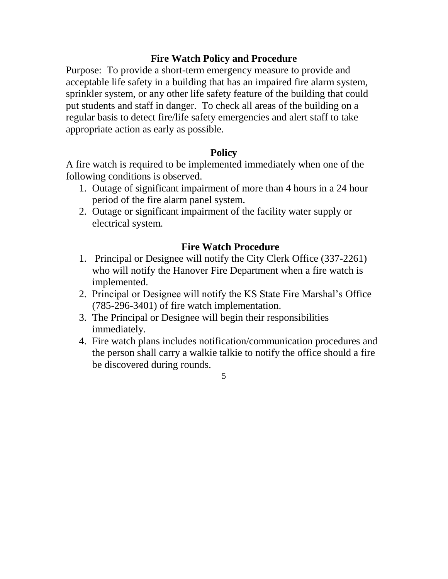## **Fire Watch Policy and Procedure**

Purpose: To provide a short-term emergency measure to provide and acceptable life safety in a building that has an impaired fire alarm system, sprinkler system, or any other life safety feature of the building that could put students and staff in danger. To check all areas of the building on a regular basis to detect fire/life safety emergencies and alert staff to take appropriate action as early as possible.

### **Policy**

A fire watch is required to be implemented immediately when one of the following conditions is observed.

- 1. Outage of significant impairment of more than 4 hours in a 24 hour period of the fire alarm panel system.
- 2. Outage or significant impairment of the facility water supply or electrical system.

## **Fire Watch Procedure**

- 1. Principal or Designee will notify the City Clerk Office (337-2261) who will notify the Hanover Fire Department when a fire watch is implemented.
- 2. Principal or Designee will notify the KS State Fire Marshal's Office (785-296-3401) of fire watch implementation.
- 3. The Principal or Designee will begin their responsibilities immediately.
- 4. Fire watch plans includes notification/communication procedures and the person shall carry a walkie talkie to notify the office should a fire be discovered during rounds.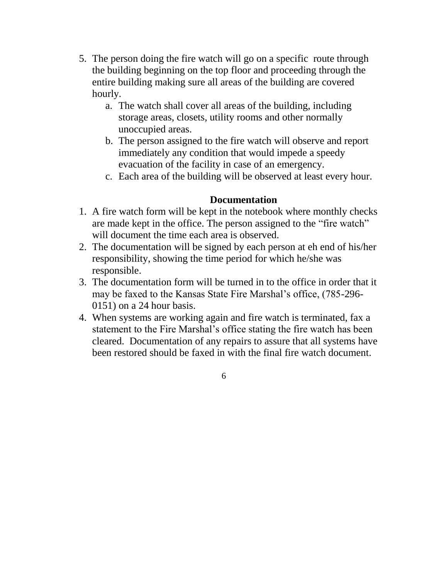- 5. The person doing the fire watch will go on a specific route through the building beginning on the top floor and proceeding through the entire building making sure all areas of the building are covered hourly.
	- a. The watch shall cover all areas of the building, including storage areas, closets, utility rooms and other normally unoccupied areas.
	- b. The person assigned to the fire watch will observe and report immediately any condition that would impede a speedy evacuation of the facility in case of an emergency.
	- c. Each area of the building will be observed at least every hour.

## **Documentation**

- 1. A fire watch form will be kept in the notebook where monthly checks are made kept in the office. The person assigned to the "fire watch" will document the time each area is observed.
- 2. The documentation will be signed by each person at eh end of his/her responsibility, showing the time period for which he/she was responsible.
- 3. The documentation form will be turned in to the office in order that it may be faxed to the Kansas State Fire Marshal's office, (785-296- 0151) on a 24 hour basis.
- 4. When systems are working again and fire watch is terminated, fax a statement to the Fire Marshal's office stating the fire watch has been cleared. Documentation of any repairs to assure that all systems have been restored should be faxed in with the final fire watch document.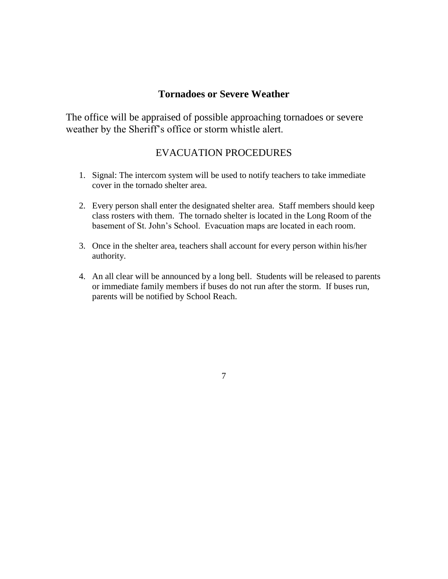#### **Tornadoes or Severe Weather**

The office will be appraised of possible approaching tornadoes or severe weather by the Sheriff's office or storm whistle alert.

#### EVACUATION PROCEDURES

- 1. Signal: The intercom system will be used to notify teachers to take immediate cover in the tornado shelter area.
- 2. Every person shall enter the designated shelter area. Staff members should keep class rosters with them. The tornado shelter is located in the Long Room of the basement of St. John's School. Evacuation maps are located in each room.
- 3. Once in the shelter area, teachers shall account for every person within his/her authority.
- 4. An all clear will be announced by a long bell. Students will be released to parents or immediate family members if buses do not run after the storm. If buses run, parents will be notified by School Reach.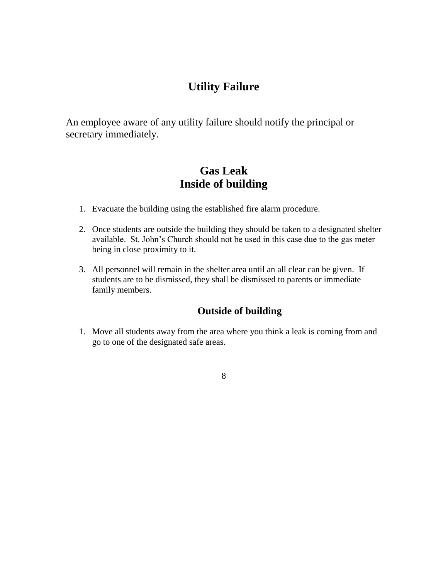# **Utility Failure**

An employee aware of any utility failure should notify the principal or secretary immediately.

# **Gas Leak Inside of building**

- 1. Evacuate the building using the established fire alarm procedure.
- 2. Once students are outside the building they should be taken to a designated shelter available. St. John's Church should not be used in this case due to the gas meter being in close proximity to it.
- 3. All personnel will remain in the shelter area until an all clear can be given. If students are to be dismissed, they shall be dismissed to parents or immediate family members.

### **Outside of building**

- 1. Move all students away from the area where you think a leak is coming from and go to one of the designated safe areas.
	- 8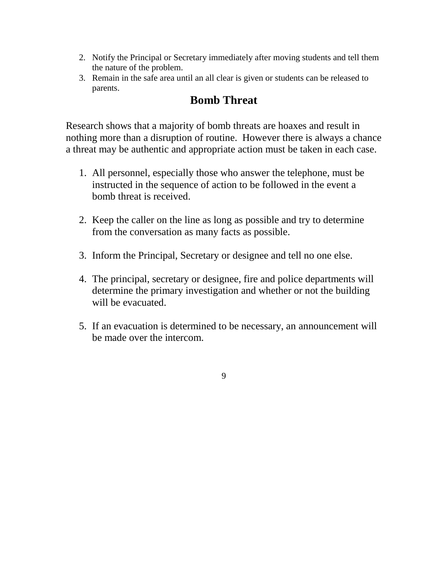- 2. Notify the Principal or Secretary immediately after moving students and tell them the nature of the problem.
- 3. Remain in the safe area until an all clear is given or students can be released to parents.

# **Bomb Threat**

Research shows that a majority of bomb threats are hoaxes and result in nothing more than a disruption of routine. However there is always a chance a threat may be authentic and appropriate action must be taken in each case.

- 1. All personnel, especially those who answer the telephone, must be instructed in the sequence of action to be followed in the event a bomb threat is received.
- 2. Keep the caller on the line as long as possible and try to determine from the conversation as many facts as possible.
- 3. Inform the Principal, Secretary or designee and tell no one else.
- 4. The principal, secretary or designee, fire and police departments will determine the primary investigation and whether or not the building will be evacuated.
- 5. If an evacuation is determined to be necessary, an announcement will be made over the intercom.
	- 9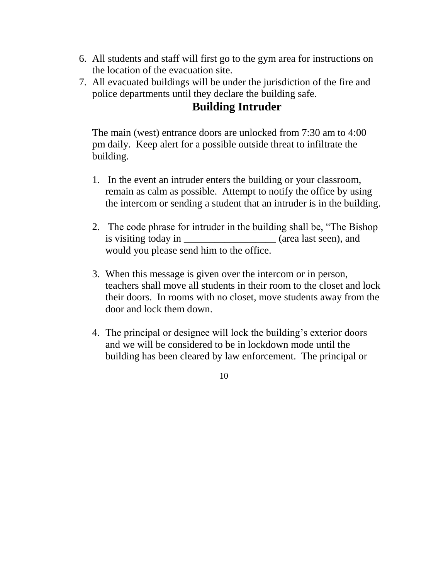- 6. All students and staff will first go to the gym area for instructions on the location of the evacuation site.
- 7. All evacuated buildings will be under the jurisdiction of the fire and police departments until they declare the building safe.

# **Building Intruder**

The main (west) entrance doors are unlocked from 7:30 am to 4:00 pm daily. Keep alert for a possible outside threat to infiltrate the building.

- 1. In the event an intruder enters the building or your classroom, remain as calm as possible. Attempt to notify the office by using the intercom or sending a student that an intruder is in the building.
- 2. The code phrase for intruder in the building shall be, "The Bishop is visiting today in \_\_\_\_\_\_\_\_\_\_\_\_\_\_\_\_\_\_\_ (area last seen), and would you please send him to the office.
- 3. When this message is given over the intercom or in person, teachers shall move all students in their room to the closet and lock their doors. In rooms with no closet, move students away from the door and lock them down.
- 4. The principal or designee will lock the building's exterior doors and we will be considered to be in lockdown mode until the building has been cleared by law enforcement. The principal or